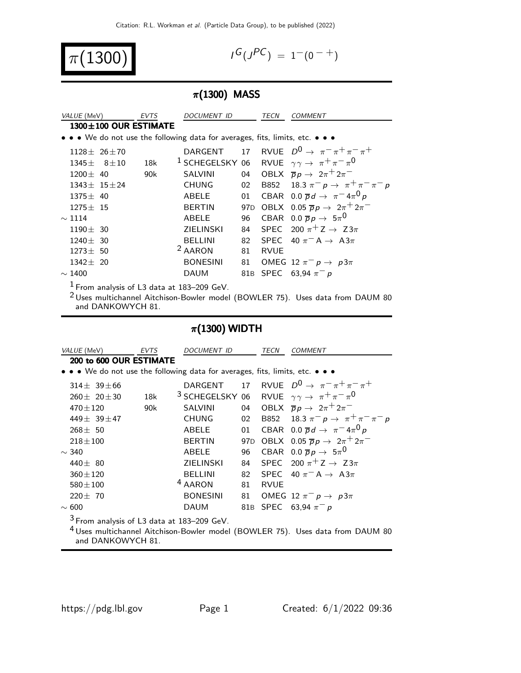$\pi$ (1300

$$
I^G(J^{PC}) = 1^-(0^{-+})
$$

### $\pi$ (1300) MASS

| VALUE (MeV)                                  |  | <b>EVTS</b> | DOCUMENT ID                                                                   |    | <b>TECN</b> | <b>COMMENT</b>                                                                |
|----------------------------------------------|--|-------------|-------------------------------------------------------------------------------|----|-------------|-------------------------------------------------------------------------------|
| $1300 \pm 100$ OUR ESTIMATE                  |  |             |                                                                               |    |             |                                                                               |
|                                              |  |             | • • • We do not use the following data for averages, fits, limits, etc. • • • |    |             |                                                                               |
| $1128 \pm 26 \pm 70$                         |  |             | DARGENT 17                                                                    |    |             | RVUE $D^0 \rightarrow \pi^- \pi^+ \pi^- \pi^+$                                |
| $1345 \pm 8 \pm 10$                          |  | 18k         |                                                                               |    |             | <sup>1</sup> SCHEGELSKY 06 RVUE $\gamma \gamma \rightarrow \pi^+ \pi^- \pi^0$ |
| $1200 \pm 40$                                |  | 90k         | <b>SALVINI</b>                                                                |    |             | 04 OBLX $\overline{p}p \rightarrow 2\pi^+ 2\pi^-$                             |
| $1343 \pm 15 \pm 24$                         |  |             | <b>CHUNG</b>                                                                  |    |             | 02 B852 18.3 $\pi^- p \to \pi^+ \pi^- \pi^- p$                                |
| $1375 \pm 40$                                |  |             | ABELE                                                                         | 01 |             | CBAR 0.0 $\overline{p}d \rightarrow \pi^{-}4\pi^{0}p$                         |
| $1275 \pm 15$                                |  |             | <b>BERTIN</b>                                                                 |    |             | 97D OBLX 0.05 $\overline{p}p \rightarrow 2\pi^+2\pi^-$                        |
| $\sim$ 1114                                  |  |             | ABELE                                                                         | 96 |             | CBAR 0.0 $\overline{p}p \rightarrow 5\pi^0$                                   |
| $1190 \pm 30$                                |  |             | <b>ZIELINSKI</b>                                                              |    |             | 84 SPEC 200 $\pi$ <sup>+</sup> Z $\rightarrow$ Z3 $\pi$                       |
| $1240 \pm 30$                                |  |             | <b>BELLINI</b>                                                                | 82 |             | SPEC 40 $\pi$ <sup>-</sup> A $\rightarrow$ A3 $\pi$                           |
| $1273 \pm 50$                                |  |             | <sup>2</sup> AARON                                                            | 81 | <b>RVUE</b> |                                                                               |
| $1342 \pm 20$                                |  |             | <b>BONESINI</b>                                                               |    |             | 81 OMEG 12 $\pi^ p \to p3\pi$                                                 |
| $\sim$ 1400                                  |  |             | DAUM                                                                          |    |             | 81B SPEC 63,94 $\pi^- p$                                                      |
| $1$ From analysis of L3 data at 183-209 GeV. |  |             |                                                                               |    |             |                                                                               |

 Uses multichannel Aitchison-Bowler model (BOWLER 75). Uses data from DAUM 80 and DANKOWYCH 81.

## $\pi$ (1300) WIDTH

|                                                                                                                                                                         | VALUE (MeV)           | <i>EVTS</i> | DOCUMENT ID                                                                   |                 | TECN    | COMMENT                                                                       |
|-------------------------------------------------------------------------------------------------------------------------------------------------------------------------|-----------------------|-------------|-------------------------------------------------------------------------------|-----------------|---------|-------------------------------------------------------------------------------|
| 200 to 600 OUR ESTIMATE                                                                                                                                                 |                       |             |                                                                               |                 |         |                                                                               |
|                                                                                                                                                                         |                       |             | • • • We do not use the following data for averages, fits, limits, etc. • • • |                 |         |                                                                               |
|                                                                                                                                                                         | $314 \pm 39 \pm 66$   |             |                                                                               |                 |         | DARGENT 17 RVUE $D^0 \rightarrow \pi^- \pi^+ \pi^- \pi^+$                     |
|                                                                                                                                                                         | $260 \pm 20 \pm 30$   | 18k         |                                                                               |                 |         | <sup>3</sup> SCHEGELSKY 06 RVUE $\gamma \gamma \rightarrow \pi^+ \pi^- \pi^0$ |
|                                                                                                                                                                         | $470 \pm 120$         | 90k         | <b>SALVINI</b>                                                                |                 |         | 04 OBLX $\overline{p}p \rightarrow 2\pi^+ 2\pi^-$                             |
|                                                                                                                                                                         | 449 $\pm$ 39 $\pm$ 47 |             | <b>CHUNG</b>                                                                  | 02              |         | B852 18.3 $\pi^ p \to \pi^+ \pi^- \pi^- p$                                    |
|                                                                                                                                                                         | $268 \pm 50$          |             | ABELE                                                                         | 01              |         | CBAR 0.0 $\overline{p}d \rightarrow \pi^{-}4\pi^{0}p$                         |
|                                                                                                                                                                         | $218 + 100$           |             | <b>BERTIN</b>                                                                 | 97 <sub>D</sub> |         | OBLX 0.05 $\overline{p}p \rightarrow 2\pi^+2\pi^-$                            |
| $\sim$ 340                                                                                                                                                              |                       |             | <b>ABELE</b>                                                                  | 96              |         | CBAR 0.0 $\overline{p}p \rightarrow 5\pi^0$                                   |
|                                                                                                                                                                         | 440 $\pm$ 80          |             | <b>ZIELINSKI</b>                                                              |                 |         | 84 SPEC 200 $\pi$ <sup>+</sup> Z $\rightarrow$ Z3 $\pi$                       |
|                                                                                                                                                                         | $360 \pm 120$         |             | <b>BELLINI</b>                                                                |                 |         | 82 SPEC 40 $\pi$ <sup>-</sup> A $\rightarrow$ A3 $\pi$                        |
|                                                                                                                                                                         | $580 \pm 100$         |             | <sup>4</sup> AARON                                                            |                 | 81 RVUE |                                                                               |
|                                                                                                                                                                         | $220 \pm 70$          |             | <b>BONESINI</b>                                                               |                 |         | 81 OMEG 12 $\pi^ p \to p3\pi$                                                 |
| $\sim 600$                                                                                                                                                              |                       |             | DAUM                                                                          | 81B             |         | SPEC 63,94 $\pi^- p$                                                          |
| <sup>3</sup> From analysis of L3 data at 183-209 GeV.<br><sup>4</sup> Uses multichannel Aitchison-Bowler model (BOWLER 75). Uses data from DAUM 80<br>and DANKOWYCH 81. |                       |             |                                                                               |                 |         |                                                                               |